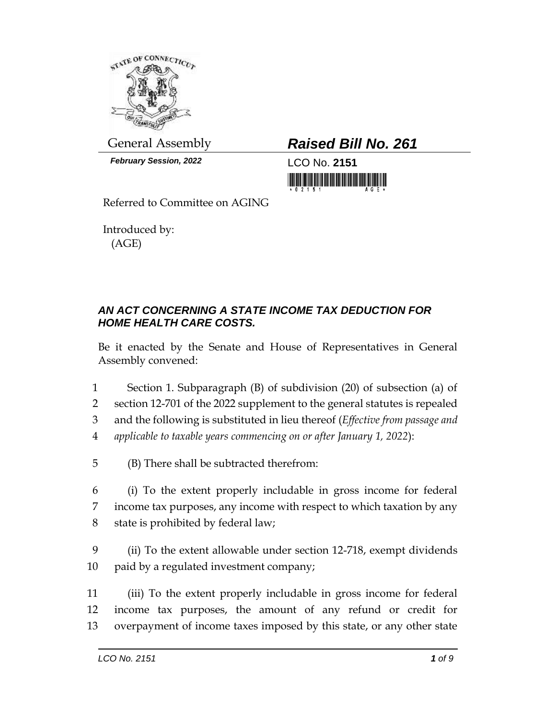

*February Session, 2022* LCO No. **2151**

General Assembly *Raised Bill No. 261*

Referred to Committee on AGING

Introduced by: (AGE)

## *AN ACT CONCERNING A STATE INCOME TAX DEDUCTION FOR HOME HEALTH CARE COSTS.*

Be it enacted by the Senate and House of Representatives in General Assembly convened:

1 Section 1. Subparagraph (B) of subdivision (20) of subsection (a) of

2 section 12-701 of the 2022 supplement to the general statutes is repealed

3 and the following is substituted in lieu thereof (*Effective from passage and*  4 *applicable to taxable years commencing on or after January 1, 2022*):

5 (B) There shall be subtracted therefrom:

6 (i) To the extent properly includable in gross income for federal 7 income tax purposes, any income with respect to which taxation by any 8 state is prohibited by federal law;

9 (ii) To the extent allowable under section 12-718, exempt dividends 10 paid by a regulated investment company;

11 (iii) To the extent properly includable in gross income for federal 12 income tax purposes, the amount of any refund or credit for 13 overpayment of income taxes imposed by this state, or any other state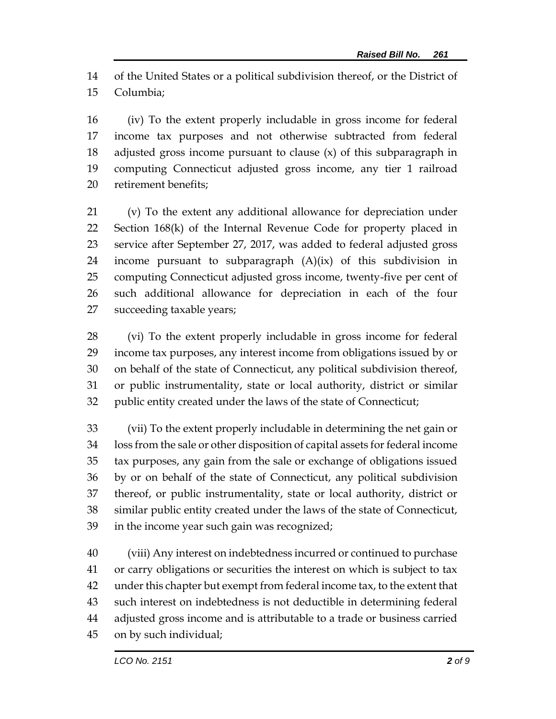of the United States or a political subdivision thereof, or the District of Columbia;

 (iv) To the extent properly includable in gross income for federal income tax purposes and not otherwise subtracted from federal adjusted gross income pursuant to clause (x) of this subparagraph in computing Connecticut adjusted gross income, any tier 1 railroad retirement benefits;

 (v) To the extent any additional allowance for depreciation under Section 168(k) of the Internal Revenue Code for property placed in service after September 27, 2017, was added to federal adjusted gross income pursuant to subparagraph (A)(ix) of this subdivision in computing Connecticut adjusted gross income, twenty-five per cent of such additional allowance for depreciation in each of the four succeeding taxable years;

 (vi) To the extent properly includable in gross income for federal income tax purposes, any interest income from obligations issued by or on behalf of the state of Connecticut, any political subdivision thereof, or public instrumentality, state or local authority, district or similar public entity created under the laws of the state of Connecticut;

 (vii) To the extent properly includable in determining the net gain or loss from the sale or other disposition of capital assets for federal income tax purposes, any gain from the sale or exchange of obligations issued by or on behalf of the state of Connecticut, any political subdivision thereof, or public instrumentality, state or local authority, district or similar public entity created under the laws of the state of Connecticut, in the income year such gain was recognized;

 (viii) Any interest on indebtedness incurred or continued to purchase or carry obligations or securities the interest on which is subject to tax under this chapter but exempt from federal income tax, to the extent that such interest on indebtedness is not deductible in determining federal adjusted gross income and is attributable to a trade or business carried on by such individual;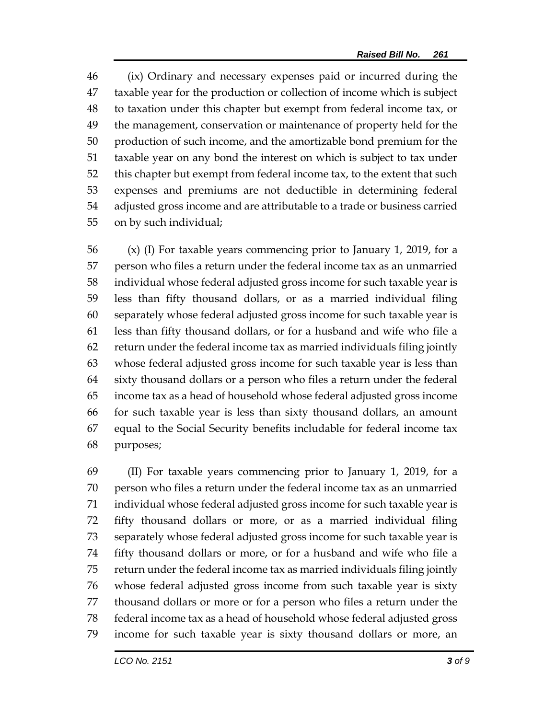(ix) Ordinary and necessary expenses paid or incurred during the taxable year for the production or collection of income which is subject to taxation under this chapter but exempt from federal income tax, or the management, conservation or maintenance of property held for the production of such income, and the amortizable bond premium for the taxable year on any bond the interest on which is subject to tax under this chapter but exempt from federal income tax, to the extent that such expenses and premiums are not deductible in determining federal adjusted gross income and are attributable to a trade or business carried on by such individual;

 (x) (I) For taxable years commencing prior to January 1, 2019, for a person who files a return under the federal income tax as an unmarried individual whose federal adjusted gross income for such taxable year is less than fifty thousand dollars, or as a married individual filing separately whose federal adjusted gross income for such taxable year is less than fifty thousand dollars, or for a husband and wife who file a return under the federal income tax as married individuals filing jointly whose federal adjusted gross income for such taxable year is less than sixty thousand dollars or a person who files a return under the federal income tax as a head of household whose federal adjusted gross income for such taxable year is less than sixty thousand dollars, an amount equal to the Social Security benefits includable for federal income tax purposes;

 (II) For taxable years commencing prior to January 1, 2019, for a person who files a return under the federal income tax as an unmarried individual whose federal adjusted gross income for such taxable year is fifty thousand dollars or more, or as a married individual filing separately whose federal adjusted gross income for such taxable year is fifty thousand dollars or more, or for a husband and wife who file a return under the federal income tax as married individuals filing jointly whose federal adjusted gross income from such taxable year is sixty thousand dollars or more or for a person who files a return under the federal income tax as a head of household whose federal adjusted gross income for such taxable year is sixty thousand dollars or more, an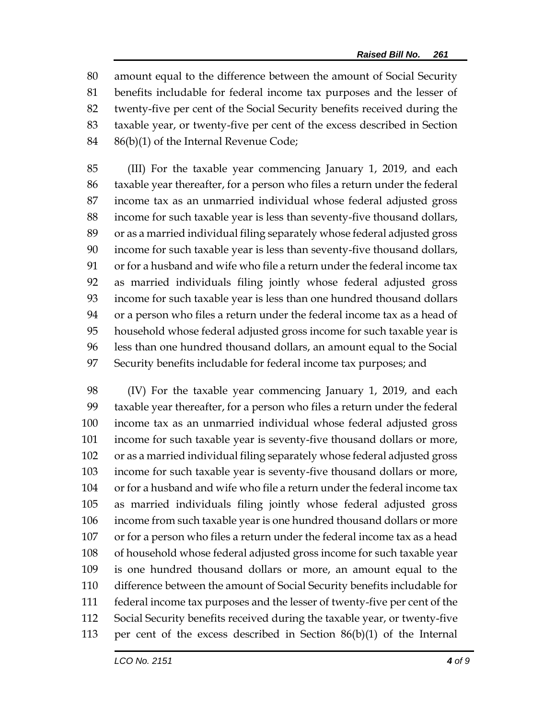amount equal to the difference between the amount of Social Security benefits includable for federal income tax purposes and the lesser of twenty-five per cent of the Social Security benefits received during the taxable year, or twenty-five per cent of the excess described in Section 86(b)(1) of the Internal Revenue Code;

 (III) For the taxable year commencing January 1, 2019, and each taxable year thereafter, for a person who files a return under the federal income tax as an unmarried individual whose federal adjusted gross income for such taxable year is less than seventy-five thousand dollars, or as a married individual filing separately whose federal adjusted gross income for such taxable year is less than seventy-five thousand dollars, or for a husband and wife who file a return under the federal income tax as married individuals filing jointly whose federal adjusted gross income for such taxable year is less than one hundred thousand dollars or a person who files a return under the federal income tax as a head of household whose federal adjusted gross income for such taxable year is less than one hundred thousand dollars, an amount equal to the Social Security benefits includable for federal income tax purposes; and

 (IV) For the taxable year commencing January 1, 2019, and each taxable year thereafter, for a person who files a return under the federal income tax as an unmarried individual whose federal adjusted gross income for such taxable year is seventy-five thousand dollars or more, or as a married individual filing separately whose federal adjusted gross income for such taxable year is seventy-five thousand dollars or more, or for a husband and wife who file a return under the federal income tax as married individuals filing jointly whose federal adjusted gross income from such taxable year is one hundred thousand dollars or more or for a person who files a return under the federal income tax as a head of household whose federal adjusted gross income for such taxable year is one hundred thousand dollars or more, an amount equal to the difference between the amount of Social Security benefits includable for federal income tax purposes and the lesser of twenty-five per cent of the Social Security benefits received during the taxable year, or twenty-five per cent of the excess described in Section 86(b)(1) of the Internal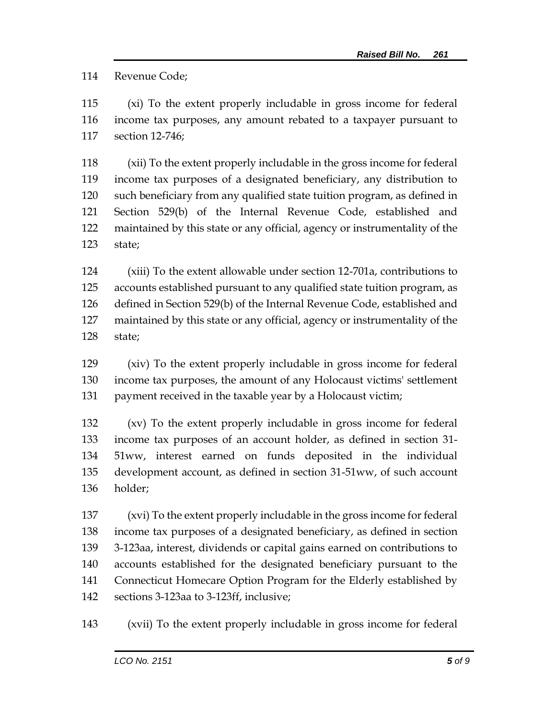Revenue Code;

 (xi) To the extent properly includable in gross income for federal income tax purposes, any amount rebated to a taxpayer pursuant to section 12-746;

 (xii) To the extent properly includable in the gross income for federal income tax purposes of a designated beneficiary, any distribution to such beneficiary from any qualified state tuition program, as defined in Section 529(b) of the Internal Revenue Code, established and maintained by this state or any official, agency or instrumentality of the state;

 (xiii) To the extent allowable under section 12-701a, contributions to accounts established pursuant to any qualified state tuition program, as defined in Section 529(b) of the Internal Revenue Code, established and maintained by this state or any official, agency or instrumentality of the state;

 (xiv) To the extent properly includable in gross income for federal income tax purposes, the amount of any Holocaust victims' settlement payment received in the taxable year by a Holocaust victim;

 (xv) To the extent properly includable in gross income for federal income tax purposes of an account holder, as defined in section 31- 51ww, interest earned on funds deposited in the individual development account, as defined in section 31-51ww, of such account holder;

 (xvi) To the extent properly includable in the gross income for federal income tax purposes of a designated beneficiary, as defined in section 3-123aa, interest, dividends or capital gains earned on contributions to accounts established for the designated beneficiary pursuant to the Connecticut Homecare Option Program for the Elderly established by sections 3-123aa to 3-123ff, inclusive;

(xvii) To the extent properly includable in gross income for federal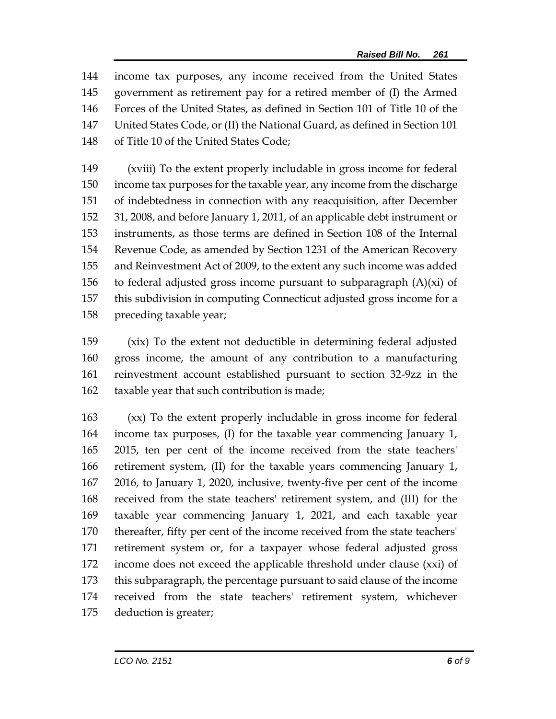income tax purposes, any income received from the United States government as retirement pay for a retired member of (I) the Armed Forces of the United States, as defined in Section 101 of Title 10 of the United States Code, or (II) the National Guard, as defined in Section 101 of Title 10 of the United States Code;

 (xviii) To the extent properly includable in gross income for federal income tax purposes for the taxable year, any income from the discharge of indebtedness in connection with any reacquisition, after December 31, 2008, and before January 1, 2011, of an applicable debt instrument or instruments, as those terms are defined in Section 108 of the Internal Revenue Code, as amended by Section 1231 of the American Recovery and Reinvestment Act of 2009, to the extent any such income was added 156 to federal adjusted gross income pursuant to subparagraph  $(A)(xi)$  of this subdivision in computing Connecticut adjusted gross income for a preceding taxable year;

 (xix) To the extent not deductible in determining federal adjusted gross income, the amount of any contribution to a manufacturing reinvestment account established pursuant to section 32-9zz in the taxable year that such contribution is made;

 (xx) To the extent properly includable in gross income for federal income tax purposes, (I) for the taxable year commencing January 1, 2015, ten per cent of the income received from the state teachers' retirement system, (II) for the taxable years commencing January 1, 2016, to January 1, 2020, inclusive, twenty-five per cent of the income received from the state teachers' retirement system, and (III) for the taxable year commencing January 1, 2021, and each taxable year thereafter, fifty per cent of the income received from the state teachers' retirement system or, for a taxpayer whose federal adjusted gross income does not exceed the applicable threshold under clause (xxi) of this subparagraph, the percentage pursuant to said clause of the income received from the state teachers' retirement system, whichever deduction is greater;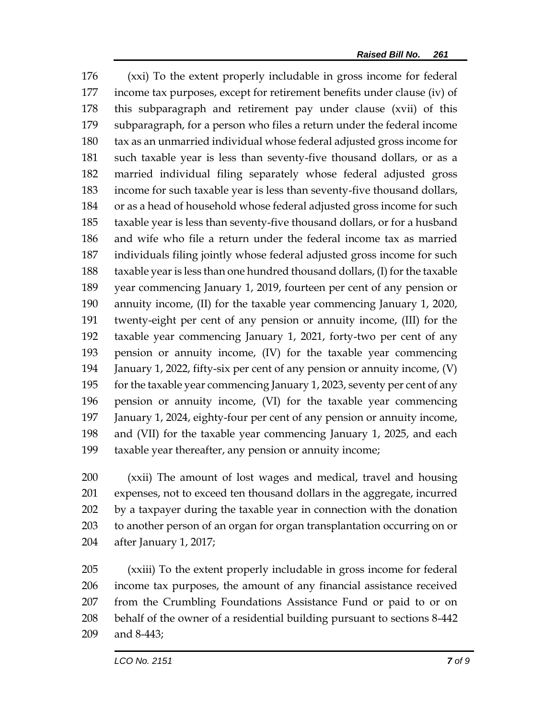(xxi) To the extent properly includable in gross income for federal income tax purposes, except for retirement benefits under clause (iv) of this subparagraph and retirement pay under clause (xvii) of this subparagraph, for a person who files a return under the federal income tax as an unmarried individual whose federal adjusted gross income for such taxable year is less than seventy-five thousand dollars, or as a married individual filing separately whose federal adjusted gross income for such taxable year is less than seventy-five thousand dollars, or as a head of household whose federal adjusted gross income for such taxable year is less than seventy-five thousand dollars, or for a husband and wife who file a return under the federal income tax as married individuals filing jointly whose federal adjusted gross income for such taxable year is less than one hundred thousand dollars, (I) for the taxable year commencing January 1, 2019, fourteen per cent of any pension or annuity income, (II) for the taxable year commencing January 1, 2020, twenty-eight per cent of any pension or annuity income, (III) for the taxable year commencing January 1, 2021, forty-two per cent of any pension or annuity income, (IV) for the taxable year commencing January 1, 2022, fifty-six per cent of any pension or annuity income, (V) for the taxable year commencing January 1, 2023, seventy per cent of any pension or annuity income, (VI) for the taxable year commencing January 1, 2024, eighty-four per cent of any pension or annuity income, and (VII) for the taxable year commencing January 1, 2025, and each taxable year thereafter, any pension or annuity income;

 (xxii) The amount of lost wages and medical, travel and housing expenses, not to exceed ten thousand dollars in the aggregate, incurred by a taxpayer during the taxable year in connection with the donation to another person of an organ for organ transplantation occurring on or after January 1, 2017;

 (xxiii) To the extent properly includable in gross income for federal income tax purposes, the amount of any financial assistance received from the Crumbling Foundations Assistance Fund or paid to or on behalf of the owner of a residential building pursuant to sections 8-442 and 8-443;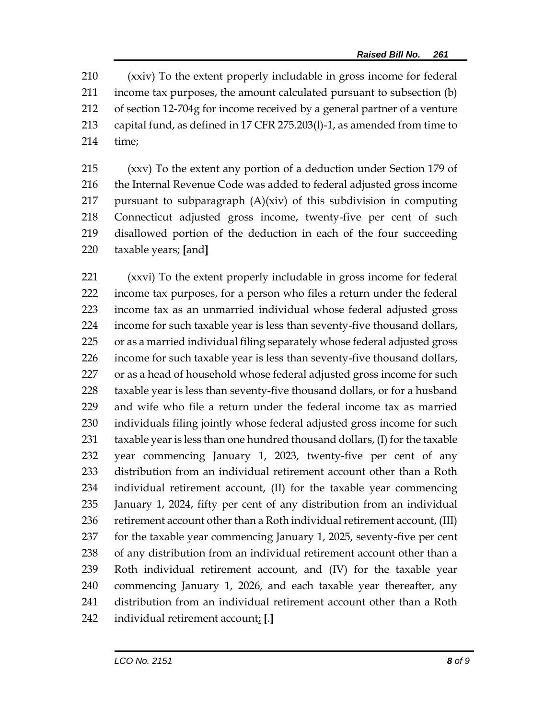(xxiv) To the extent properly includable in gross income for federal income tax purposes, the amount calculated pursuant to subsection (b) of section 12-704g for income received by a general partner of a venture capital fund, as defined in 17 CFR 275.203(l)-1, as amended from time to time;

 (xxv) To the extent any portion of a deduction under Section 179 of the Internal Revenue Code was added to federal adjusted gross income 217 pursuant to subparagraph  $(A)(xiv)$  of this subdivision in computing Connecticut adjusted gross income, twenty-five per cent of such disallowed portion of the deduction in each of the four succeeding taxable years; **[**and**]**

 (xxvi) To the extent properly includable in gross income for federal income tax purposes, for a person who files a return under the federal income tax as an unmarried individual whose federal adjusted gross income for such taxable year is less than seventy-five thousand dollars, or as a married individual filing separately whose federal adjusted gross income for such taxable year is less than seventy-five thousand dollars, 227 or as a head of household whose federal adjusted gross income for such taxable year is less than seventy-five thousand dollars, or for a husband and wife who file a return under the federal income tax as married individuals filing jointly whose federal adjusted gross income for such taxable year is less than one hundred thousand dollars, (I) for the taxable year commencing January 1, 2023, twenty-five per cent of any distribution from an individual retirement account other than a Roth individual retirement account, (II) for the taxable year commencing January 1, 2024, fifty per cent of any distribution from an individual 236 retirement account other than a Roth individual retirement account, (III) for the taxable year commencing January 1, 2025, seventy-five per cent of any distribution from an individual retirement account other than a Roth individual retirement account, and (IV) for the taxable year commencing January 1, 2026, and each taxable year thereafter, any distribution from an individual retirement account other than a Roth individual retirement account; **[**.**]**